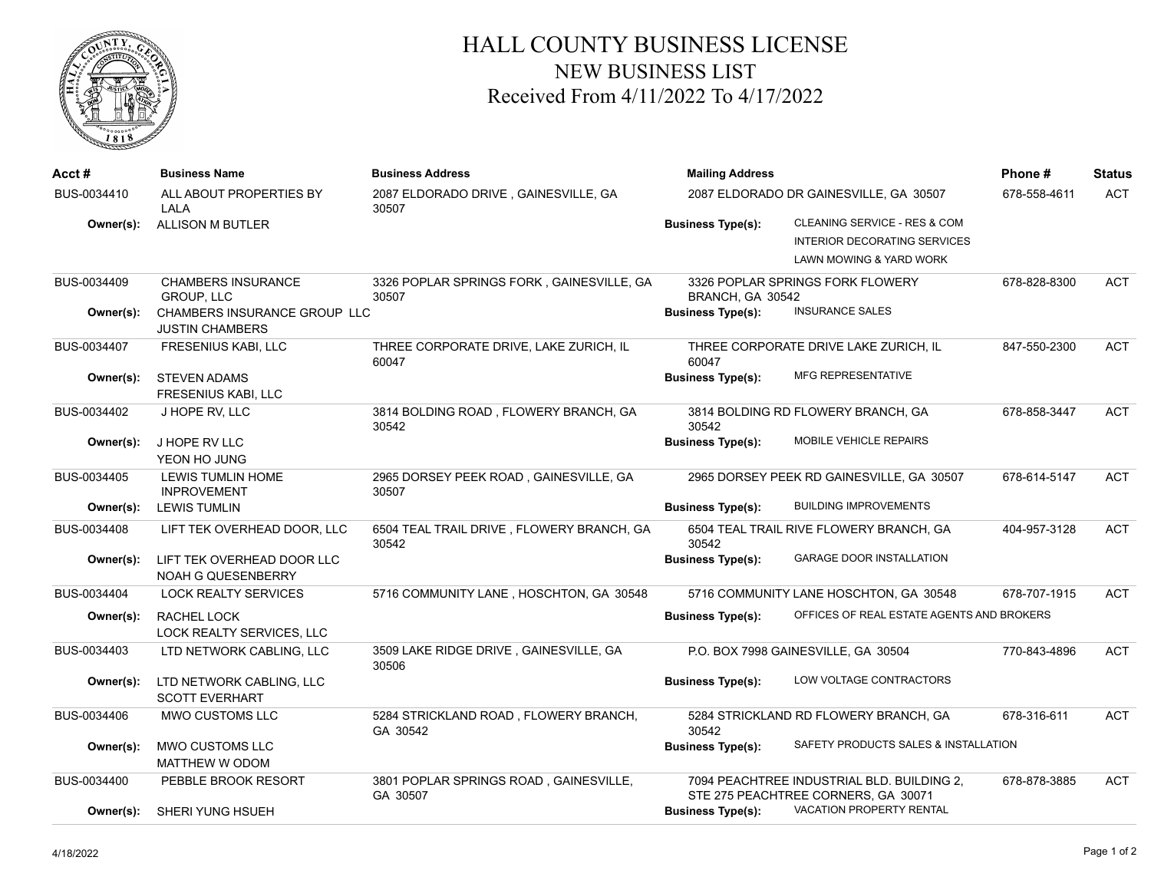

## HALL COUNTY BUSINESS LICENSE NEW BUSINESS LIST Received From 4/11/2022 To 4/17/2022

| BUS-0034410<br>ALL ABOUT PROPERTIES BY<br>2087 ELDORADO DRIVE, GAINESVILLE, GA<br>2087 ELDORADO DR GAINESVILLE, GA 30507<br>LALA<br>30507<br>CLEANING SERVICE - RES & COM<br><b>ALLISON M BUTLER</b><br><b>Business Type(s):</b><br>Owner(s):<br><b>INTERIOR DECORATING SERVICES</b><br>LAWN MOWING & YARD WORK<br>BUS-0034409<br><b>CHAMBERS INSURANCE</b><br>3326 POPLAR SPRINGS FORK, GAINESVILLE, GA<br>3326 POPLAR SPRINGS FORK FLOWERY<br><b>GROUP, LLC</b><br>30507<br>BRANCH, GA 30542<br><b>INSURANCE SALES</b><br><b>CHAMBERS INSURANCE GROUP LLC</b><br><b>Business Type(s):</b><br>Owner(s):<br><b>JUSTIN CHAMBERS</b> | 678-558-4611 | <b>ACT</b> |
|------------------------------------------------------------------------------------------------------------------------------------------------------------------------------------------------------------------------------------------------------------------------------------------------------------------------------------------------------------------------------------------------------------------------------------------------------------------------------------------------------------------------------------------------------------------------------------------------------------------------------------|--------------|------------|
|                                                                                                                                                                                                                                                                                                                                                                                                                                                                                                                                                                                                                                    |              |            |
|                                                                                                                                                                                                                                                                                                                                                                                                                                                                                                                                                                                                                                    |              |            |
|                                                                                                                                                                                                                                                                                                                                                                                                                                                                                                                                                                                                                                    | 678-828-8300 | ACT        |
| FRESENIUS KABI, LLC<br>THREE CORPORATE DRIVE, LAKE ZURICH, IL<br>THREE CORPORATE DRIVE LAKE ZURICH, IL<br>BUS-0034407<br>60047<br>60047                                                                                                                                                                                                                                                                                                                                                                                                                                                                                            | 847-550-2300 | <b>ACT</b> |
| <b>MFG REPRESENTATIVE</b><br><b>STEVEN ADAMS</b><br><b>Business Type(s):</b><br>Owner(s):<br><b>FRESENIUS KABI, LLC</b>                                                                                                                                                                                                                                                                                                                                                                                                                                                                                                            |              |            |
| BUS-0034402<br>J HOPE RV, LLC<br>3814 BOLDING ROAD, FLOWERY BRANCH, GA<br>3814 BOLDING RD FLOWERY BRANCH, GA<br>30542<br>30542                                                                                                                                                                                                                                                                                                                                                                                                                                                                                                     | 678-858-3447 | <b>ACT</b> |
| MOBILE VEHICLE REPAIRS<br><b>Business Type(s):</b><br>Owner(s):<br>J HOPE RV LLC<br>YEON HO JUNG                                                                                                                                                                                                                                                                                                                                                                                                                                                                                                                                   |              |            |
| BUS-0034405<br><b>LEWIS TUMLIN HOME</b><br>2965 DORSEY PEEK ROAD, GAINESVILLE, GA<br>2965 DORSEY PEEK RD GAINESVILLE, GA 30507<br><b>INPROVEMENT</b><br>30507<br><b>BUILDING IMPROVEMENTS</b>                                                                                                                                                                                                                                                                                                                                                                                                                                      | 678-614-5147 | <b>ACT</b> |
| <b>LEWIS TUMLIN</b><br><b>Business Type(s):</b><br>Owner(s):                                                                                                                                                                                                                                                                                                                                                                                                                                                                                                                                                                       |              |            |
| BUS-0034408<br>LIFT TEK OVERHEAD DOOR, LLC<br>6504 TEAL TRAIL DRIVE, FLOWERY BRANCH, GA<br>6504 TEAL TRAIL RIVE FLOWERY BRANCH, GA<br>30542<br>30542                                                                                                                                                                                                                                                                                                                                                                                                                                                                               | 404-957-3128 | <b>ACT</b> |
| <b>GARAGE DOOR INSTALLATION</b><br><b>Business Type(s):</b><br>LIFT TEK OVERHEAD DOOR LLC<br>Owner(s):<br>NOAH G QUESENBERRY                                                                                                                                                                                                                                                                                                                                                                                                                                                                                                       |              |            |
| <b>LOCK REALTY SERVICES</b><br>5716 COMMUNITY LANE, HOSCHTON, GA 30548<br>5716 COMMUNITY LANE HOSCHTON, GA 30548<br>BUS-0034404                                                                                                                                                                                                                                                                                                                                                                                                                                                                                                    | 678-707-1915 | ACT        |
| OFFICES OF REAL ESTATE AGENTS AND BROKERS<br>RACHEL LOCK<br><b>Business Type(s):</b><br>Owner(s):<br>LOCK REALTY SERVICES, LLC                                                                                                                                                                                                                                                                                                                                                                                                                                                                                                     |              |            |
| BUS-0034403<br>3509 LAKE RIDGE DRIVE, GAINESVILLE, GA<br>LTD NETWORK CABLING, LLC<br>P.O. BOX 7998 GAINESVILLE, GA 30504<br>30506                                                                                                                                                                                                                                                                                                                                                                                                                                                                                                  | 770-843-4896 | <b>ACT</b> |
| LOW VOLTAGE CONTRACTORS<br>LTD NETWORK CABLING, LLC<br><b>Business Type(s):</b><br>Owner(s):<br><b>SCOTT EVERHART</b>                                                                                                                                                                                                                                                                                                                                                                                                                                                                                                              |              |            |
| 5284 STRICKLAND ROAD, FLOWERY BRANCH,<br>BUS-0034406<br>MWO CUSTOMS LLC<br>5284 STRICKLAND RD FLOWERY BRANCH, GA<br>30542<br>GA 30542                                                                                                                                                                                                                                                                                                                                                                                                                                                                                              | 678-316-611  | <b>ACT</b> |
| SAFETY PRODUCTS SALES & INSTALLATION<br>MWO CUSTOMS LLC<br>Owner(s):<br><b>Business Type(s):</b><br>MATTHEW W ODOM                                                                                                                                                                                                                                                                                                                                                                                                                                                                                                                 |              |            |
| 3801 POPLAR SPRINGS ROAD, GAINESVILLE,<br>7094 PEACHTREE INDUSTRIAL BLD. BUILDING 2,<br>BUS-0034400<br>PEBBLE BROOK RESORT<br>STE 275 PEACHTREE CORNERS, GA 30071<br>GA 30507                                                                                                                                                                                                                                                                                                                                                                                                                                                      | 678-878-3885 | <b>ACT</b> |
| VACATION PROPERTY RENTAL<br><b>Business Type(s):</b><br>Owner(s):<br>SHERI YUNG HSUEH                                                                                                                                                                                                                                                                                                                                                                                                                                                                                                                                              |              |            |